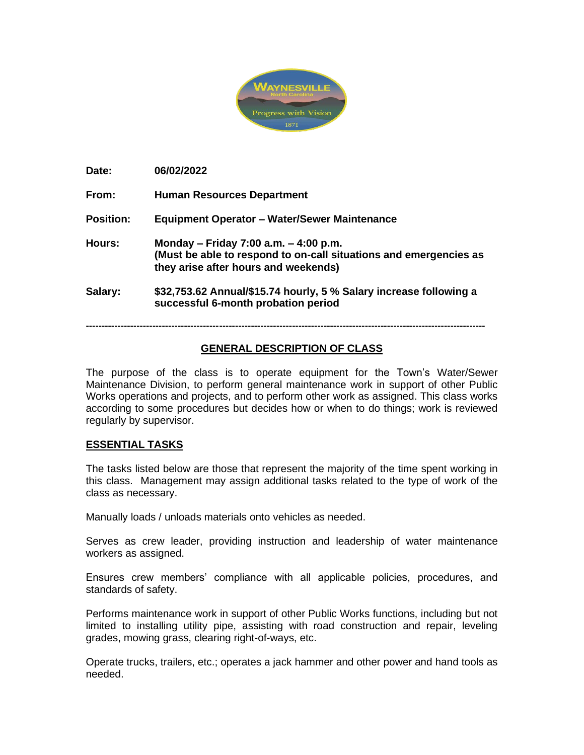

**Date: 06/02/2022**

**From: Human Resources Department**

**Position: Equipment Operator – Water/Sewer Maintenance**

- **Hours: Monday – Friday 7:00 a.m. – 4:00 p.m. (Must be able to respond to on-call situations and emergencies as they arise after hours and weekends)**
- **Salary: \$32,753.62 Annual/\$15.74 hourly, 5 % Salary increase following a successful 6-month probation period**

**------------------------------------------------------------------------------------------------------------------------------**

# **GENERAL DESCRIPTION OF CLASS**

The purpose of the class is to operate equipment for the Town's Water/Sewer Maintenance Division, to perform general maintenance work in support of other Public Works operations and projects, and to perform other work as assigned. This class works according to some procedures but decides how or when to do things; work is reviewed regularly by supervisor.

# **ESSENTIAL TASKS**

The tasks listed below are those that represent the majority of the time spent working in this class. Management may assign additional tasks related to the type of work of the class as necessary.

Manually loads / unloads materials onto vehicles as needed.

Serves as crew leader, providing instruction and leadership of water maintenance workers as assigned.

Ensures crew members' compliance with all applicable policies, procedures, and standards of safety.

Performs maintenance work in support of other Public Works functions, including but not limited to installing utility pipe, assisting with road construction and repair, leveling grades, mowing grass, clearing right-of-ways, etc.

Operate trucks, trailers, etc.; operates a jack hammer and other power and hand tools as needed.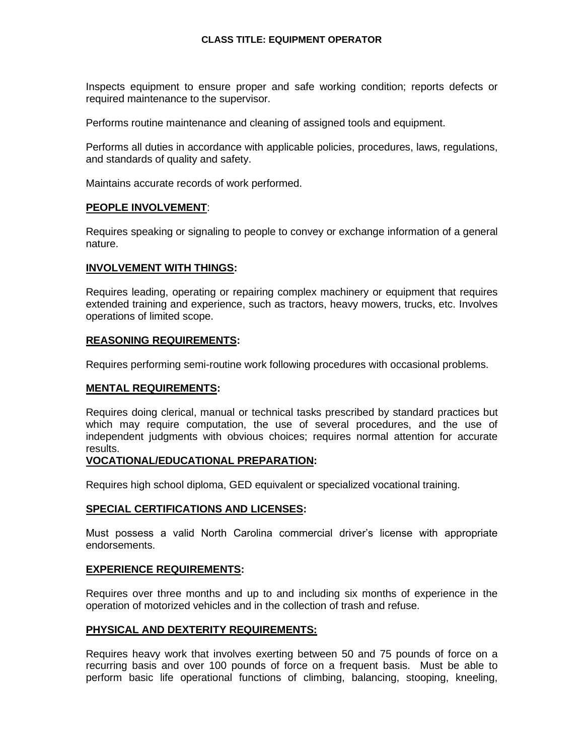# **CLASS TITLE: EQUIPMENT OPERATOR**

Inspects equipment to ensure proper and safe working condition; reports defects or required maintenance to the supervisor.

Performs routine maintenance and cleaning of assigned tools and equipment.

Performs all duties in accordance with applicable policies, procedures, laws, regulations, and standards of quality and safety.

Maintains accurate records of work performed.

### **PEOPLE INVOLVEMENT**:

Requires speaking or signaling to people to convey or exchange information of a general nature.

### **INVOLVEMENT WITH THINGS:**

Requires leading, operating or repairing complex machinery or equipment that requires extended training and experience, such as tractors, heavy mowers, trucks, etc. Involves operations of limited scope.

# **REASONING REQUIREMENTS:**

Requires performing semi-routine work following procedures with occasional problems.

# **MENTAL REQUIREMENTS:**

Requires doing clerical, manual or technical tasks prescribed by standard practices but which may require computation, the use of several procedures, and the use of independent judgments with obvious choices; requires normal attention for accurate results.

### **VOCATIONAL/EDUCATIONAL PREPARATION:**

Requires high school diploma, GED equivalent or specialized vocational training.

#### **SPECIAL CERTIFICATIONS AND LICENSES:**

Must possess a valid North Carolina commercial driver's license with appropriate endorsements.

# **EXPERIENCE REQUIREMENTS:**

Requires over three months and up to and including six months of experience in the operation of motorized vehicles and in the collection of trash and refuse.

# **PHYSICAL AND DEXTERITY REQUIREMENTS:**

Requires heavy work that involves exerting between 50 and 75 pounds of force on a recurring basis and over 100 pounds of force on a frequent basis. Must be able to perform basic life operational functions of climbing, balancing, stooping, kneeling,